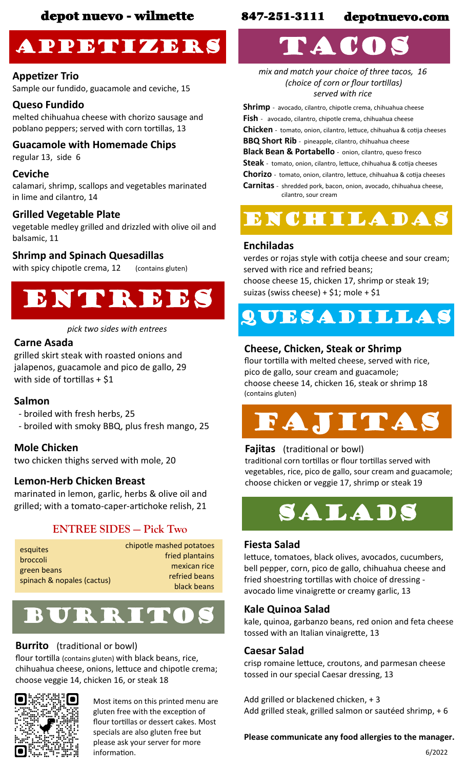## Appetizers

#### **Appetizer Trio**

Sample our fundido, guacamole and ceviche, 15

#### **Queso Fundido**

melted chihuahua cheese with chorizo sausage and poblano peppers; served with corn tortillas, 13

### **Guacamole with Homemade Chips**

regular 13, side 6

#### **Ceviche**

calamari, shrimp, scallops and vegetables marinated in lime and cilantro, 14

#### **Grilled Vegetable Plate**

vegetable medley grilled and drizzled with olive oil and balsamic, 11

#### **Shrimp and Spinach Quesadillas**

with spicy chipotle crema, 12 (contains gluten)

## Entrees

#### *pick two sides with entrees*

#### **Carne Asada**

grilled skirt steak with roasted onions and jalapenos, guacamole and pico de gallo, 29 with side of tortillas  $+$  \$1

#### **Salmon**

- broiled with fresh herbs, 25

- broiled with smoky BBQ, plus fresh mango, 25

#### **Mole Chicken**

two chicken thighs served with mole, 20

#### **Lemon-Herb Chicken Breast**

marinated in lemon, garlic, herbs & olive oil and grilled; with a tomato-caper-artichoke relish, 21

#### **ENTREE SIDES — Pick Two**

| esquites                   | chipotle mashed potatoes |
|----------------------------|--------------------------|
| broccoli                   | fried plantains          |
| green beans                | mexican rice             |
| spinach & nopales (cactus) | refried beans            |
|                            | black beans              |



#### **Burrito** (traditional or bowl)

flour tortilla (contains gluten) with black beans, rice, chihuahua cheese, onions, lettuce and chipotle crema; choose veggie 14, chicken 16, or steak 18



Most items on this printed menu are gluten free with the exception of flour tortillas or dessert cakes. Most specials are also gluten free but please ask your server for more information.

## depot nuevo - wilmette 847-251-3111 depotnuevo.com

# TACOS

*mix and match your choice of three tacos, 16 (choice of corn or flour tortillas) served with rice*

**Shrimp** - avocado, cilantro, chipotle crema, chihuahua cheese **Fish** - avocado, cilantro, chipotle crema, chihuahua cheese **Chicken** - tomato, onion, cilantro, lettuce, chihuahua & cotija cheeses **BBQ Short Rib** - pineapple, cilantro, chihuahua cheese **Black Bean & Portabello** - onion, cilantro, queso fresco **Steak** - tomato, onion, cilantro, lettuce, chihuahua & cotija cheeses **Chorizo** - tomato, onion, cilantro, lettuce, chihuahua & cotija cheeses **Carnitas** - shredded pork, bacon, onion, avocado, chihuahua cheese, cilantro, sour cream



#### **Enchiladas**

verdes or rojas style with cotija cheese and sour cream; served with rice and refried beans; choose cheese 15, chicken 17, shrimp or steak 19; suizas (swiss cheese) +  $$1;$  mole +  $$1$ 

## QUESADILLAS

#### **Cheese, Chicken, Steak or Shrimp**

flour tortilla with melted cheese, served with rice, pico de gallo, sour cream and guacamole; choose cheese 14, chicken 16, steak or shrimp 18 (contains gluten)



#### **Fajitas** (traditional or bowl)

traditional corn tortillas or flour tortillas served with vegetables, rice, pico de gallo, sour cream and guacamole; choose chicken or veggie 17, shrimp or steak 19



#### **Fiesta Salad**

lettuce, tomatoes, black olives, avocados, cucumbers, bell pepper, corn, pico de gallo, chihuahua cheese and fried shoestring tortillas with choice of dressing avocado lime vinaigrette or creamy garlic, 13

#### **Kale Quinoa Salad**

kale, quinoa, garbanzo beans, red onion and feta cheese tossed with an Italian vinaigrette, 13

#### **Caesar Salad**

crisp romaine lettuce, croutons, and parmesan cheese tossed in our special Caesar dressing, 13

Add grilled or blackened chicken, + 3 Add grilled steak, grilled salmon or sautéed shrimp, + 6

#### **Please communicate any food allergies to the manager.**